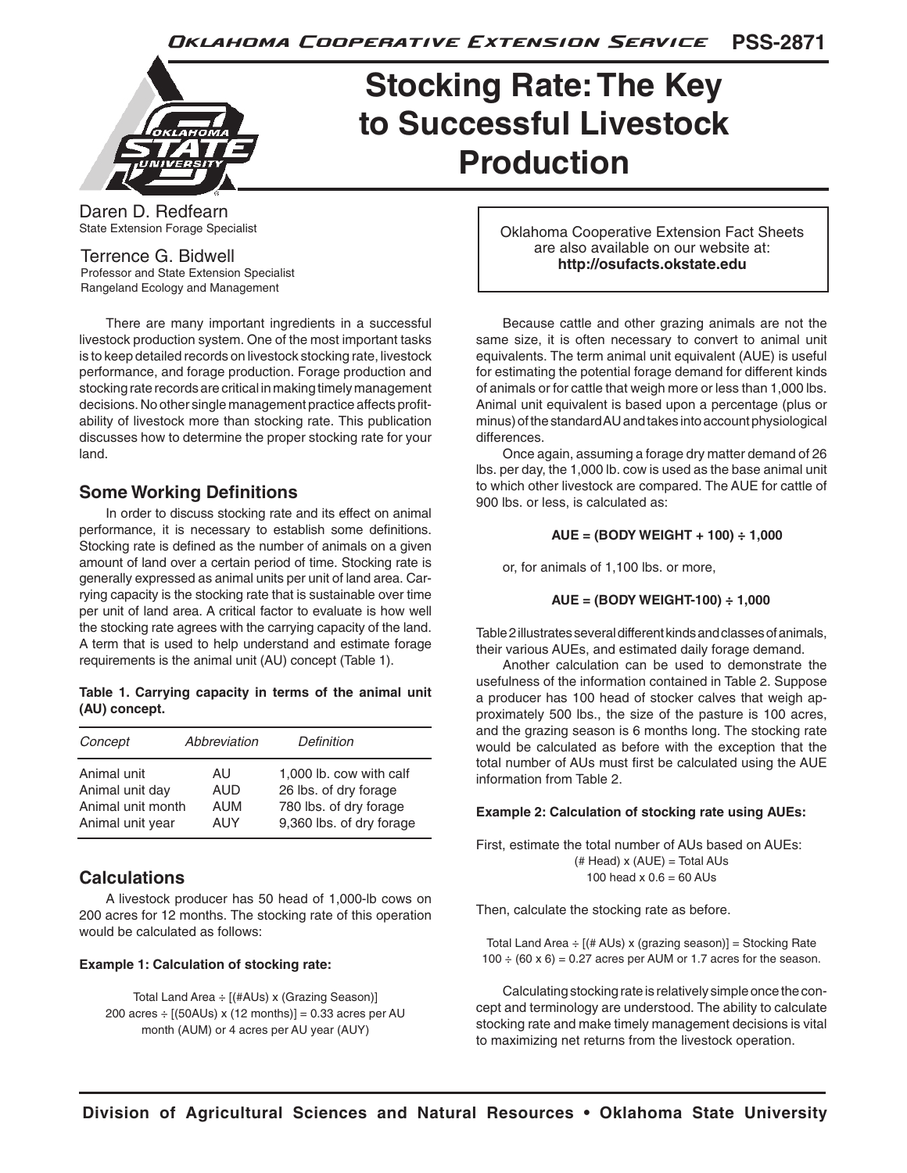**PSS-2871** Oklahoma Cooperative Extension Service



# **Stocking Rate: The Key to Successful Livestock Production**

Daren D. Redfearn State Extension Forage Specialist

Terrence G. Bidwell Professor and State Extension Specialist Rangeland Ecology and Management

 There are many important ingredients in a successful livestock production system. One of the most important tasks is to keep detailed records on livestock stocking rate, livestock performance, and forage production. Forage production and stocking rate records are critical in making timely management decisions.No other single management practice affects profitability of livestock more than stocking rate. This publication discusses how to determine the proper stocking rate for your land.

# **Some Working Definitions**

 In order to discuss stocking rate and its effect on animal performance, it is necessary to establish some definitions. Stocking rate is defined as the number of animals on a given amount of land over a certain period of time. Stocking rate is generally expressed as animal units per unit of land area. Carrying capacity is the stocking rate that is sustainable over time per unit of land area. A critical factor to evaluate is how well the stocking rate agrees with the carrying capacity of the land. A term that is used to help understand and estimate forage requirements is the animal unit (AU) concept (Table 1).

**Table 1. Carrying capacity in terms of the animal unit (AU) concept.**

| Concept           | Abbreviation | Definition               |
|-------------------|--------------|--------------------------|
| Animal unit       | AU           | 1,000 lb. cow with calf  |
| Animal unit day   | AUD          | 26 lbs. of dry forage    |
| Animal unit month | <b>AUM</b>   | 780 lbs. of dry forage   |
| Animal unit year  | AUY          | 9,360 lbs. of dry forage |

# **Calculations**

 A livestock producer has 50 head of 1,000-lb cows on 200 acres for 12 months. The stocking rate of this operation would be calculated as follows:

#### **Example 1: Calculation of stocking rate:**

Total Land Area ÷ [(#AUs) x (Grazing Season)] 200 acres  $\div$  [(50AUs) x (12 months)] = 0.33 acres per AU month (AUM) or 4 acres per AU year (AUY)

Oklahoma Cooperative Extension Fact Sheets are also available on our website at: **http://osufacts.okstate.edu**

 Because cattle and other grazing animals are not the same size, it is often necessary to convert to animal unit equivalents. The term animal unit equivalent (AUE) is useful for estimating the potential forage demand for different kinds of animals or for cattle that weigh more or less than 1,000 lbs. Animal unit equivalent is based upon a percentage (plus or minus) of the standard AU and takes into account physiological differences.

 Once again, assuming a forage dry matter demand of 26 lbs. per day, the 1,000 lb. cow is used as the base animal unit to which other livestock are compared. The AUE for cattle of 900 lbs. or less, is calculated as:

#### **AUE = (BODY WEIGHT + 100) ÷ 1,000**

 or, for animals of 1,100 lbs. or more,

$$
AUE = (BODY WEIGHT-100) ÷ 1,000
$$

Table 2 illustrates several different kinds and classes of animals, their various AUEs, and estimated daily forage demand.

 Another calculation can be used to demonstrate the usefulness of the information contained in Table 2. Suppose a producer has 100 head of stocker calves that weigh approximately 500 lbs., the size of the pasture is 100 acres, and the grazing season is 6 months long. The stocking rate would be calculated as before with the exception that the total number of AUs must first be calculated using the AUE information from Table 2.

#### **Example 2: Calculation of stocking rate using AUEs:**

First, estimate the total number of AUs based on AUEs:  $(\#$  Head) x  $(AUE)$  = Total AUs 100 head  $x = 0.6 = 60$  AUs

Then, calculate the stocking rate as before.

Total Land Area  $\div$  [(# AUs) x (grazing season)] = Stocking Rate  $100 \div (60 \times 6) = 0.27$  acres per AUM or 1.7 acres for the season.

Calculating stocking rate is relatively simple once the concept and terminology are understood. The ability to calculate stocking rate and make timely management decisions is vital to maximizing net returns from the livestock operation.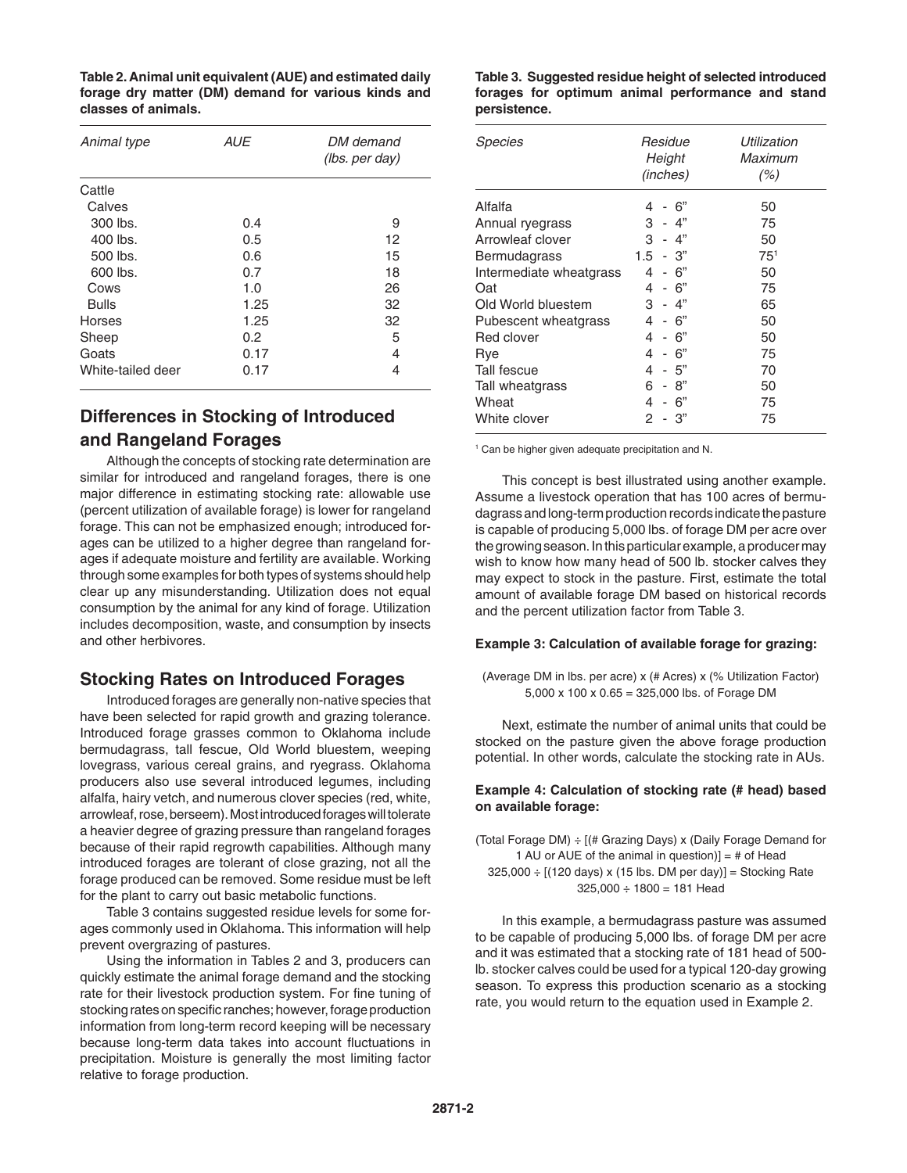**Table 2. Animal unit equivalent (AUE) and estimated daily forage dry matter (DM) demand for various kinds and classes of animals.**

| Animal type       | <b>AUE</b> | DM demand<br>(lbs. per day) |
|-------------------|------------|-----------------------------|
| Cattle            |            |                             |
| Calves            |            |                             |
| 300 lbs.          | 0.4        | 9                           |
| 400 lbs.          | 0.5        | 12                          |
| 500 lbs.          | 0.6        | 15                          |
| 600 lbs.          | 0.7        | 18                          |
| Cows              | 1.0        | 26                          |
| <b>Bulls</b>      | 1.25       | 32                          |
| Horses            | 1.25       | 32                          |
| Sheep             | 0.2        | 5                           |
| Goats             | 0.17       | 4                           |
| White-tailed deer | 0.17       | 4                           |
|                   |            |                             |

# **Differences in Stocking of Introduced and Rangeland Forages**

 Although the concepts of stocking rate determination are similar for introduced and rangeland forages, there is one major difference in estimating stocking rate: allowable use (percent utilization of available forage) is lower for rangeland forage. This can not be emphasized enough; introduced forages can be utilized to a higher degree than rangeland forages if adequate moisture and fertility are available. Working through some examples for both types of systems should help clear up any misunderstanding. Utilization does not equal consumption by the animal for any kind of forage. Utilization includes decomposition, waste, and consumption by insects and other herbivores.

# **Stocking Rates on Introduced Forages**

 Introduced forages are generally non-native species that have been selected for rapid growth and grazing tolerance. Introduced forage grasses common to Oklahoma include bermudagrass, tall fescue, Old World bluestem, weeping lovegrass, various cereal grains, and ryegrass. Oklahoma producers also use several introduced legumes, including alfalfa, hairy vetch, and numerous clover species (red, white, arrowleaf, rose, berseem). Most introduced forages will tolerate a heavier degree of grazing pressure than rangeland forages because of their rapid regrowth capabilities. Although many introduced forages are tolerant of close grazing, not all the forage produced can be removed. Some residue must be left for the plant to carry out basic metabolic functions.

 Table 3 contains suggested residue levels for some forages commonly used in Oklahoma. This information will help prevent overgrazing of pastures.

 Using the information in Tables 2 and 3, producers can quickly estimate the animal forage demand and the stocking rate for their livestock production system. For fine tuning of stocking rates on specific ranches; however, forage production information from long-term record keeping will be necessary because long-term data takes into account fluctuations in precipitation. Moisture is generally the most limiting factor relative to forage production.

**Table 3. Suggested residue height of selected introduced forages for optimum animal performance and stand persistence.**

| Species                 | Residue<br>Height<br>(inches) | Utilization<br>Maximum<br>(%) |
|-------------------------|-------------------------------|-------------------------------|
| Alfalfa                 | 6"<br>4                       | 50                            |
| Annual ryegrass         | 3<br>- 4"                     | 75                            |
| Arrowleaf clover        | 3<br>- 4"                     | 50                            |
| Bermudagrass            | 1.5<br>- 3"                   | 75 <sup>1</sup>               |
| Intermediate wheatgrass | - 6"<br>4                     | 50                            |
| Oat                     | - 6"<br>4                     | 75                            |
| Old World bluestem      | - 4"<br>З                     | 65                            |
| Pubescent wheatgrass    | - 6"<br>4                     | 50                            |
| Red clover              | - 6"<br>4                     | 50                            |
| Rve                     | - 6"<br>4                     | 75                            |
| Tall fescue             | - 5"<br>4                     | 70                            |
| Tall wheatgrass         | - 8"<br>6                     | 50                            |
| Wheat                   | 6"<br>4                       | 75                            |
| White clover            | 3"<br>2                       | 75                            |

<sup>1</sup> Can be higher given adequate precipitation and N.

 This concept is best illustrated using another example. Assume a livestock operation that has 100 acres of bermudagrass and long-term production records indicate the pasture is capable of producing 5,000 lbs. of forage DM per acre over the growing season. In this particular example, a producer may wish to know how many head of 500 lb. stocker calves they may expect to stock in the pasture. First, estimate the total amount of available forage DM based on historical records and the percent utilization factor from Table 3.

#### **Example 3: Calculation of available forage for grazing:**

(Average DM in lbs. per acre) x (# Acres) x (% Utilization Factor) 5,000 x 100 x 0.65 = 325,000 lbs. of Forage DM

 Next, estimate the number of animal units that could be stocked on the pasture given the above forage production potential. In other words, calculate the stocking rate in AUs.

#### **Example 4: Calculation of stocking rate (# head) based on available forage:**

(Total Forage DM) ÷ [(# Grazing Days) x (Daily Forage Demand for 1 AU or AUE of the animal in question)] =  $#$  of Head  $325,000 \div [(120 \text{ days}) \times (15 \text{ lbs. DM per day})] = Stocking Rate$  $325,000 \div 1800 = 181$  Head

 In this example, a bermudagrass pasture was assumed to be capable of producing 5,000 lbs. of forage DM per acre and it was estimated that a stocking rate of 181 head of 500 lb. stocker calves could be used for a typical 120-day growing season. To express this production scenario as a stocking rate, you would return to the equation used in Example 2.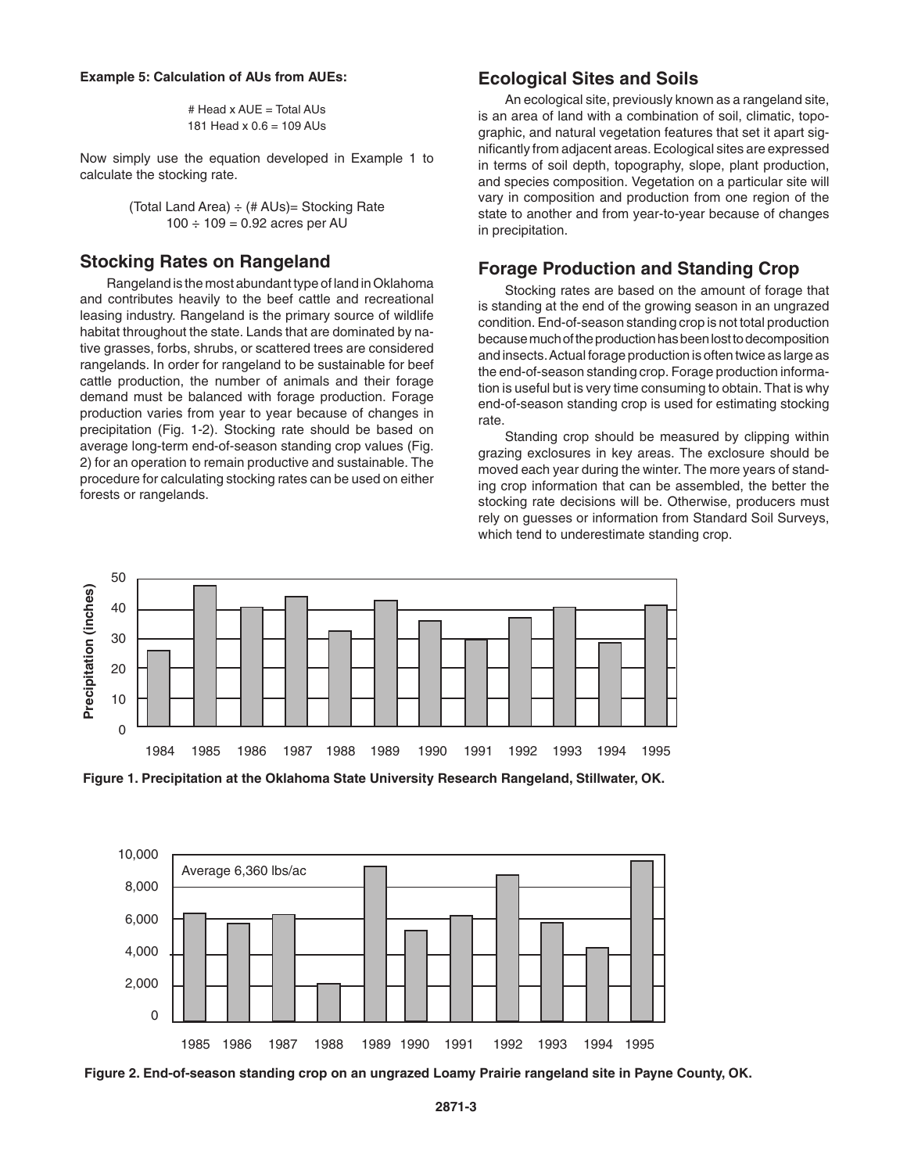#### **Example 5: Calculation of AUs from AUEs:**

# Head x AUE = Total AUs 181 Head x 0.6 = 109 AUs

Now simply use the equation developed in Example 1 to calculate the stocking rate.

> (Total Land Area)  $\div$  (# AUs) = Stocking Rate  $100 \div 109 = 0.92$  acres per AU

# **Stocking Rates on Rangeland**

 Rangeland is the most abundant type of land inOklahoma and contributes heavily to the beef cattle and recreational leasing industry. Rangeland is the primary source of wildlife habitat throughout the state. Lands that are dominated by native grasses, forbs, shrubs, or scattered trees are considered rangelands. In order for rangeland to be sustainable for beef cattle production, the number of animals and their forage demand must be balanced with forage production. Forage production varies from year to year because of changes in precipitation (Fig. 1-2). Stocking rate should be based on average long-term end-of-season standing crop values (Fig. 2) for an operation to remain productive and sustainable. The procedure for calculating stocking rates can be used on either forests or rangelands.

# **Ecological Sites and Soils**

 An ecological site, previously known as a rangeland site, is an area of land with a combination of soil, climatic, topographic, and natural vegetation features that set it apart significantly from adjacent areas. Ecological sites are expressed in terms of soil depth, topography, slope, plant production, and species composition. Vegetation on a particular site will vary in composition and production from one region of the state to another and from year-to-year because of changes in precipitation.

## **Forage Production and Standing Crop**

 Stocking rates are based on the amount of forage that is standing at the end of the growing season in an ungrazed condition.End-of-season standing crop is not total production because much of the production has been lost to decomposition and insects.Actual forage production is often twice as large as the end-of-season standing crop. Forage production information is useful but is very time consuming to obtain. That is why end-of-season standing crop is used for estimating stocking rate.

 Standing crop should be measured by clipping within grazing exclosures in key areas. The exclosure should be moved each year during the winter. The more years of standing crop information that can be assembled, the better the stocking rate decisions will be. Otherwise, producers must rely on guesses or information from Standard Soil Surveys, which tend to underestimate standing crop.







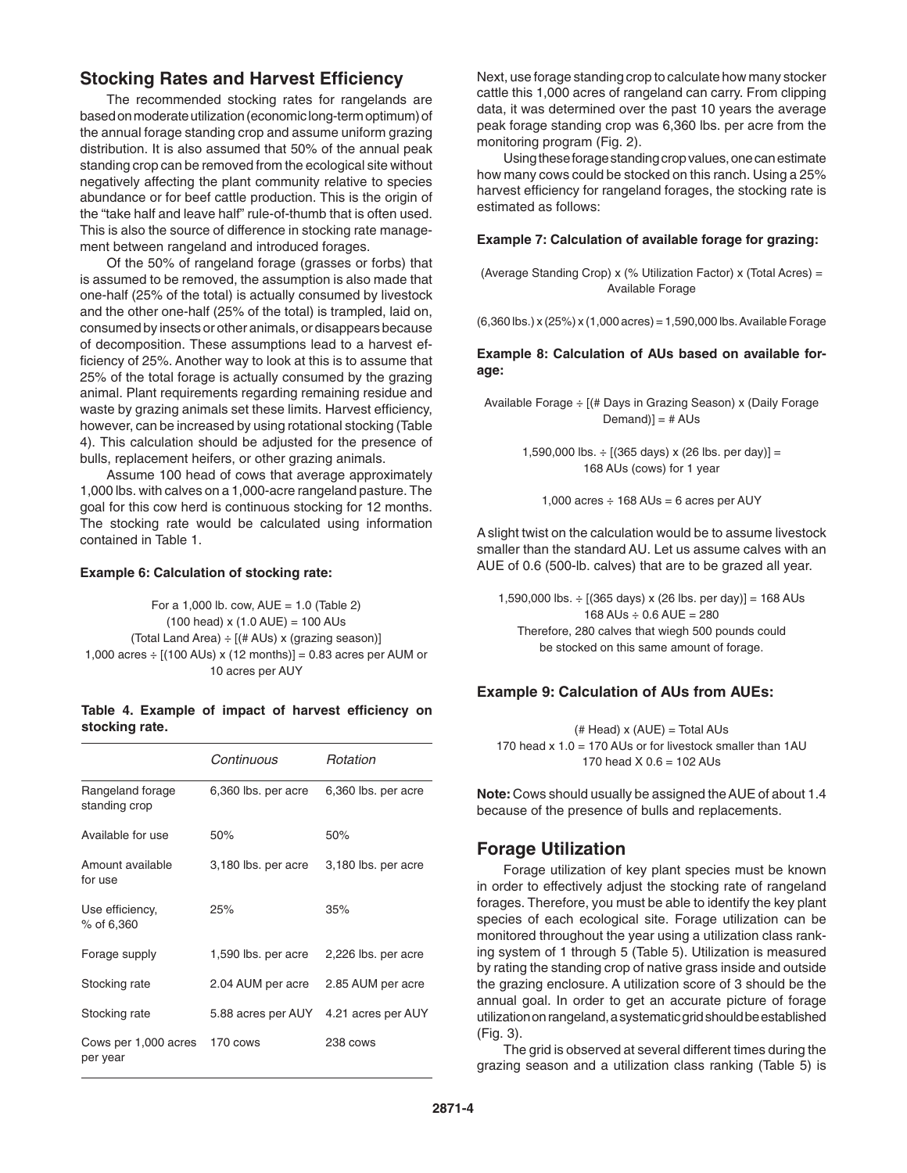# **Stocking Rates and Harvest Efficiency**

 The recommended stocking rates for rangelands are based on moderate utilization (economic long-term optimum) of the annual forage standing crop and assume uniform grazing distribution. It is also assumed that 50% of the annual peak standing crop can be removed from the ecological site without negatively affecting the plant community relative to species abundance or for beef cattle production. This is the origin of the "take half and leave half" rule-of-thumb that is often used. This is also the source of difference in stocking rate management between rangeland and introduced forages.

 Of the 50% of rangeland forage (grasses or forbs) that is assumed to be removed, the assumption is also made that one-half (25% of the total) is actually consumed by livestock and the other one-half (25% of the total) is trampled, laid on, consumed by insects or other animals, or disappears because of decomposition. These assumptions lead to a harvest efficiency of 25%. Another way to look at this is to assume that 25% of the total forage is actually consumed by the grazing animal. Plant requirements regarding remaining residue and waste by grazing animals set these limits. Harvest efficiency, however, can be increased by using rotational stocking (Table 4). This calculation should be adjusted for the presence of bulls, replacement heifers, or other grazing animals.

 Assume 100 head of cows that average approximately 1,000 lbs. with calves on a 1,000-acre rangeland pasture. The goal for this cow herd is continuous stocking for 12 months. The stocking rate would be calculated using information contained in Table 1.

#### **Example 6: Calculation of stocking rate:**

For a 1,000 lb. cow,  $AUE = 1.0$  (Table 2)  $(100 \text{ head}) \times (1.0 \text{ AUE}) = 100 \text{ AUs}$ (Total Land Area) ÷ [(# AUs) x (grazing season)] 1,000 acres ÷ [(100 AUs) x (12 months)] = 0.83 acres per AUM or 10 acres per AUY

#### **Table 4. Example of impact of harvest efficiency on stocking rate.**

|                                   | Continuous          | Rotation            |
|-----------------------------------|---------------------|---------------------|
| Rangeland forage<br>standing crop | 6,360 lbs. per acre | 6,360 lbs. per acre |
| Available for use                 | 50%                 | 50%                 |
| Amount available<br>for use       | 3,180 lbs. per acre | 3,180 lbs. per acre |
| Use efficiency,<br>% of 6,360     | 25%                 | 35%                 |
| Forage supply                     | 1,590 lbs. per acre | 2,226 lbs. per acre |
| Stocking rate                     | 2.04 AUM per acre   | 2.85 AUM per acre   |
| Stocking rate                     | 5.88 acres per AUY  | 4.21 acres per AUY  |
| Cows per 1,000 acres<br>per year  | 170 cows            | 238 cows            |

Next, use forage standing crop to calculate how many stocker cattle this 1,000 acres of rangeland can carry. From clipping data, it was determined over the past 10 years the average peak forage standing crop was 6,360 lbs. per acre from the monitoring program (Fig. 2).

Using these forage standing crop values, one can estimate how many cows could be stocked on this ranch. Using a 25% harvest efficiency for rangeland forages, the stocking rate is estimated as follows:

#### **Example 7: Calculation of available forage for grazing:**

(Average Standing Crop) x (% Utilization Factor) x (Total Acres) = Available Forage

(6,360 lbs.) x (25%) x (1,000 acres) = 1,590,000 lbs.Available Forage

**Example 8: Calculation of AUs based on available forage:**

Available Forage ÷ [(# Days in Grazing Season) x (Daily Forage  $Demand$  $=$  # AUs

> 1,590,000 lbs.  $\div$  [(365 days) x (26 lbs. per day)] = 168 AUs (cows) for 1 year

1,000 acres  $\div$  168 AUs = 6 acres per AUY

Aslight twist on the calculation would be to assume livestock smaller than the standard AU. Let us assume calves with an AUE of 0.6 (500-lb. calves) that are to be grazed all year.

1,590,000 lbs.  $\div$  [(365 days) x (26 lbs. per day)] = 168 AUs  $168$  AUs  $\div$  0.6 AUE = 280 Therefore, 280 calves that wiegh 500 pounds could be stocked on this same amount of forage.

#### **Example 9: Calculation of AUs from AUEs:**

 $# Head$ ) x  $(AUE) = Total AUs$ 170 head  $x$  1.0 = 170 AUs or for livestock smaller than 1AU 170 head  $X$  0.6 = 102 AUs

**Note:** Cows should usually be assigned theAUE of about 1.4 because of the presence of bulls and replacements.

# **Forage Utilization**

 Forage utilization of key plant species must be known in order to effectively adjust the stocking rate of rangeland forages. Therefore, you must be able to identify the key plant species of each ecological site. Forage utilization can be monitored throughout the year using a utilization class ranking system of 1 through 5 (Table 5). Utilization is measured by rating the standing crop of native grass inside and outside the grazing enclosure. A utilization score of 3 should be the annual goal. In order to get an accurate picture of forage utilization on rangeland, a systematic grid should be established (Fig. 3).

 The grid is observed at several different times during the grazing season and a utilization class ranking (Table 5) is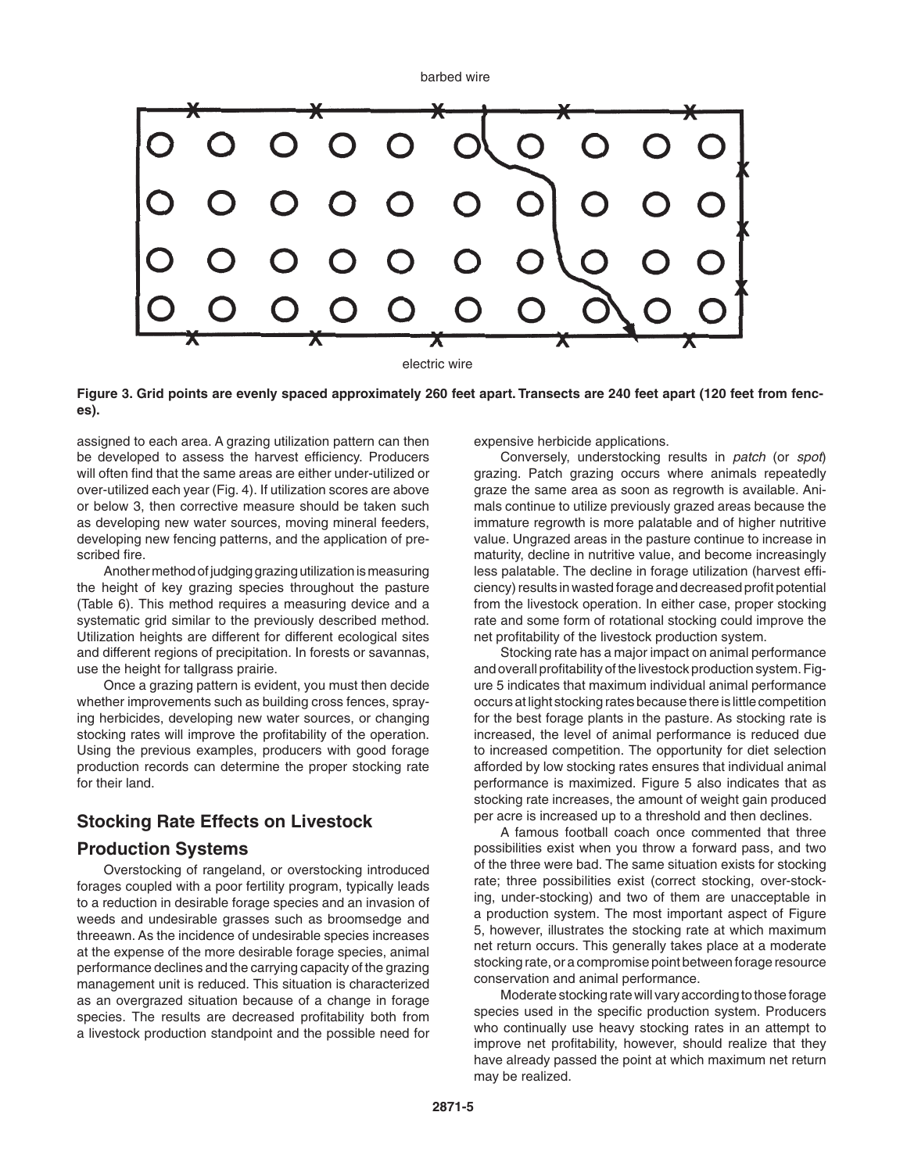

**Figure 3. Grid points are evenly spaced approximately 260 feet apart. Transects are 240 feet apart (120 feet from fences).**

assigned to each area. A grazing utilization pattern can then be developed to assess the harvest efficiency. Producers will often find that the same areas are either under-utilized or over-utilized each year (Fig. 4). If utilization scores are above or below 3, then corrective measure should be taken such as developing new water sources, moving mineral feeders, developing new fencing patterns, and the application of prescribed fire.

Another method of judging grazing utilization is measuring the height of key grazing species throughout the pasture (Table 6). This method requires a measuring device and a systematic grid similar to the previously described method. Utilization heights are different for different ecological sites and different regions of precipitation. In forests or savannas, use the height for tallgrass prairie.

 Once a grazing pattern is evident, you must then decide whether improvements such as building cross fences, spraying herbicides, developing new water sources, or changing stocking rates will improve the profitability of the operation. Using the previous examples, producers with good forage production records can determine the proper stocking rate for their land.

# **Stocking Rate Effects on Livestock**

### **Production Systems**

 Overstocking of rangeland, or overstocking introduced forages coupled with a poor fertility program, typically leads to a reduction in desirable forage species and an invasion of weeds and undesirable grasses such as broomsedge and threeawn. As the incidence of undesirable species increases at the expense of the more desirable forage species, animal performance declines and the carrying capacity of the grazing management unit is reduced. This situation is characterized as an overgrazed situation because of a change in forage species. The results are decreased profitability both from a livestock production standpoint and the possible need for expensive herbicide applications.

 Conversely, understocking results in *patch* (or *spot*) grazing. Patch grazing occurs where animals repeatedly graze the same area as soon as regrowth is available. Animals continue to utilize previously grazed areas because the immature regrowth is more palatable and of higher nutritive value. Ungrazed areas in the pasture continue to increase in maturity, decline in nutritive value, and become increasingly less palatable. The decline in forage utilization (harvest efficiency) results in wasted forage and decreased profit potential from the livestock operation. In either case, proper stocking rate and some form of rotational stocking could improve the net profitability of the livestock production system.

 Stocking rate has a major impact on animal performance and overall profitability of the livestock production system. Figure 5 indicates that maximum individual animal performance occurs at light stocking rates because there is little competition for the best forage plants in the pasture. As stocking rate is increased, the level of animal performance is reduced due to increased competition. The opportunity for diet selection afforded by low stocking rates ensures that individual animal performance is maximized. Figure 5 also indicates that as stocking rate increases, the amount of weight gain produced per acre is increased up to a threshold and then declines.

 A famous football coach once commented that three possibilities exist when you throw a forward pass, and two of the three were bad. The same situation exists for stocking rate; three possibilities exist (correct stocking, over-stocking, under-stocking) and two of them are unacceptable in a production system. The most important aspect of Figure 5, however, illustrates the stocking rate at which maximum net return occurs. This generally takes place at a moderate stocking rate, or a compromise point between forage resource conservation and animal performance.

Moderate stocking rate will vary according to those forage species used in the specific production system. Producers who continually use heavy stocking rates in an attempt to improve net profitability, however, should realize that they have already passed the point at which maximum net return may be realized.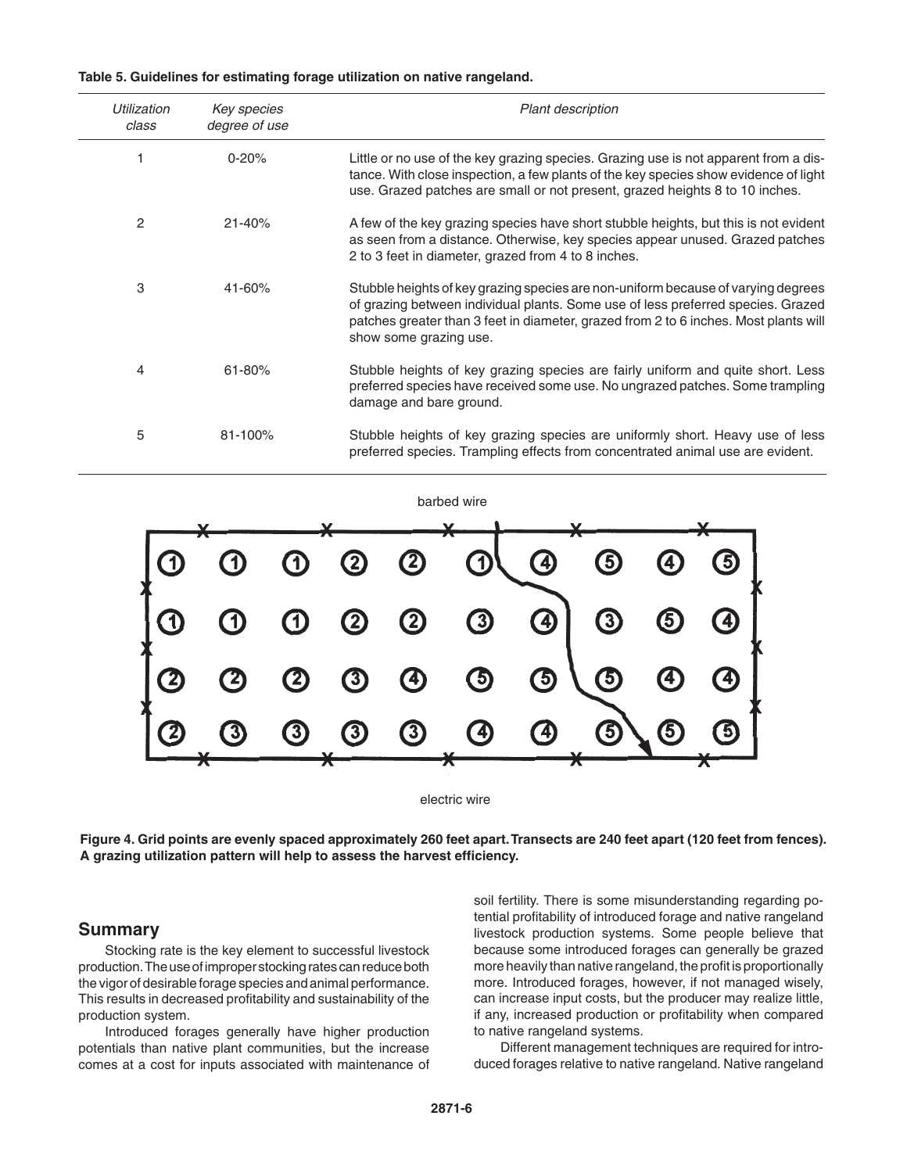| Table 5. Guidelines for estimating forage utilization on native rangeland. |  |  |  |  |
|----------------------------------------------------------------------------|--|--|--|--|
|                                                                            |  |  |  |  |

| Utilization<br>class | Key species<br>degree of use | Plant description                                                                                                                                                                                                                                                                       |
|----------------------|------------------------------|-----------------------------------------------------------------------------------------------------------------------------------------------------------------------------------------------------------------------------------------------------------------------------------------|
|                      | $0 - 20%$                    | Little or no use of the key grazing species. Grazing use is not apparent from a dis-<br>tance. With close inspection, a few plants of the key species show evidence of light<br>use. Grazed patches are small or not present, grazed heights 8 to 10 inches.                            |
| 2                    | $21 - 40%$                   | A few of the key grazing species have short stubble heights, but this is not evident<br>as seen from a distance. Otherwise, key species appear unused. Grazed patches<br>2 to 3 feet in diameter, grazed from 4 to 8 inches.                                                            |
| 3                    | 41-60%                       | Stubble heights of key grazing species are non-uniform because of varying degrees<br>of grazing between individual plants. Some use of less preferred species. Grazed<br>patches greater than 3 feet in diameter, grazed from 2 to 6 inches. Most plants will<br>show some grazing use. |
| 4                    | $61 - 80%$                   | Stubble heights of key grazing species are fairly uniform and quite short. Less<br>preferred species have received some use. No ungrazed patches. Some trampling<br>damage and bare ground.                                                                                             |
| 5                    | 81-100%                      | Stubble heights of key grazing species are uniformly short. Heavy use of less<br>preferred species. Trampling effects from concentrated animal use are evident.                                                                                                                         |





**Figure 4. Grid points are evenly spaced approximately 260 feet apart. Transects are 240 feet apart (120 feet from fences). A grazing utilization pattern will help to assess the harvest efficiency.**

#### **Summary**

 Stocking rate is the key element to successful livestock production. The use of improper stocking rates can reduce both the vigor of desirable forage species and animal performance. This results in decreased profitability and sustainability of the production system.

 Introduced forages generally have higher production potentials than native plant communities, but the increase comes at a cost for inputs associated with maintenance of soil fertility. There is some misunderstanding regarding potential profitability of introduced forage and native rangeland livestock production systems. Some people believe that because some introduced forages can generally be grazed more heavily than native rangeland, the profit is proportionally more. Introduced forages, however, if not managed wisely, can increase input costs, but the producer may realize little, if any, increased production or profitability when compared to native rangeland systems.

 Different management techniques are required for introduced forages relative to native rangeland. Native rangeland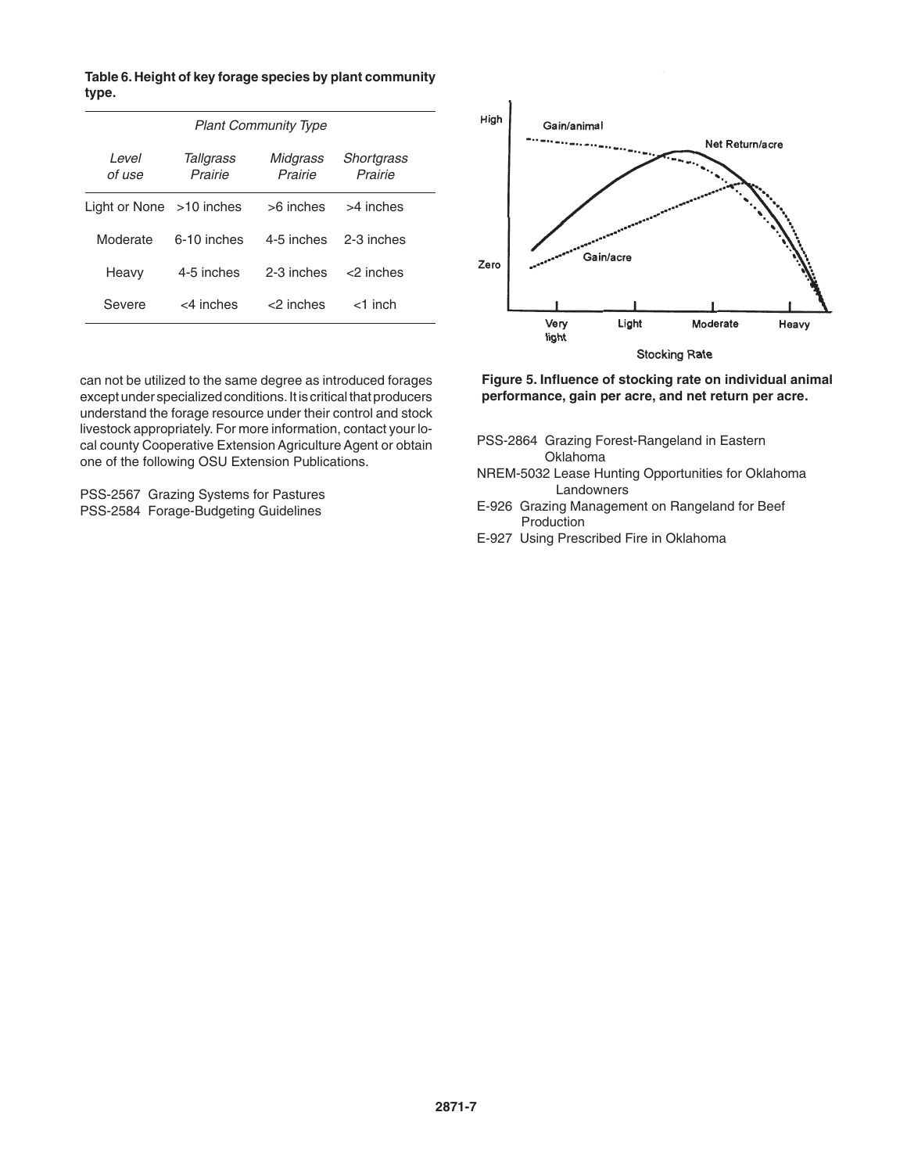**Table 6. Height of key forage species by plant community type.**

| <b>Plant Community Type</b> |                      |                     |                       |  |  |
|-----------------------------|----------------------|---------------------|-----------------------|--|--|
| Level<br>of use             | Tallgrass<br>Prairie | Midgrass<br>Prairie | Shortgrass<br>Prairie |  |  |
| Light or None $>10$ inches  |                      | $>6$ inches         | >4 inches             |  |  |
| Moderate                    | 6-10 inches          | 4-5 inches          | 2-3 inches            |  |  |
| Heavy                       | 4-5 inches           | 2-3 inches          | $<$ ? inches          |  |  |
| Severe                      | $<$ 4 inches         | <2 inches           | $<$ 1 inch            |  |  |

can not be utilized to the same degree as introduced forages except under specialized conditions. It is critical that producers understand the forage resource under their control and stock livestock appropriately. For more information, contact your local county Cooperative Extension Agriculture Agent or obtain one of the following OSU Extension Publications.

PSS-2567 Grazing Systems for Pastures PSS-2584 Forage-Budgeting Guidelines



**Figure 5. Influence of stocking rate on individual animal performance, gain per acre, and net return per acre.**

- PSS-2864 Grazing Forest-Rangeland in Eastern Oklahoma
- NREM-5032 Lease Hunting Opportunities for Oklahoma Landowners
- E-926 Grazing Management on Rangeland for Beef Production
- E-927 Using Prescribed Fire in Oklahoma